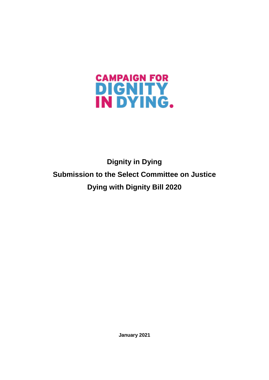

**Dignity in Dying Submission to the Select Committee on Justice Dying with Dignity Bill 2020**

**January 2021**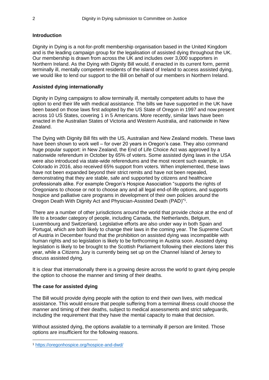## **Introduction**

Dignity in Dying is a not-for-profit membership organisation based in the United Kingdom and is the leading campaign group for the legalisation of assisted dying throughout the UK. Our membership is drawn from across the UK and includes over 3,000 supporters in Northern Ireland. As the Dying with Dignity Bill would, if enacted in its current form, permit terminally ill, mentally competent residents of the island of Ireland to access assisted dying, we would like to lend our support to the Bill on behalf of our members in Northern Ireland.

# **Assisted dying internationally**

Dignity in Dying campaigns to allow terminally ill, mentally competent adults to have the option to end their life with medical assistance. The bills we have supported in the UK have been based on those laws first adopted by the US State of Oregon in 1997 and now present across 10 US States, covering 1 in 5 Americans. More recently, similar laws have been enacted in the Australian States of Victoria and Western Australia, and nationwide in New Zealand.

The Dying with Dignity Bill fits with the US, Australian and New Zealand models. These laws have been shown to work well – for over 20 years in Oregon's case. They also command huge popular support: in New Zealand, the End of Life Choice Act was approved by a nationwide referendum in October by 65% of voters. Some assisted dying laws in the USA were also introduced via state-wide referendums and the most recent such example, in Colorado in 2016, also received 65% support from voters. When implemented, these laws have not been expanded beyond their strict remits and have not been repealed, demonstrating that they are stable, safe and supported by citizens and healthcare professionals alike. For example Oregon's Hospice Association "supports the rights of Oregonians to choose or not to choose any and all legal end-of-life options, and supports hospice and palliative care programs in development of their own policies around the Oregon Death With Dignity Act and Physician-Assisted Death (PAD)"<sup>1</sup> .

There are a number of other jurisdictions around the world that provide choice at the end of life to a broader category of people, including Canada, the Netherlands, Belgium, Luxembourg and Switzerland. Legislative efforts are also under way in both Spain and Portugal, which are both likely to change their laws in the coming year. The Supreme Court of Austria in December found that the prohibition on assisted dying was incompatible with human rights and so legislation is likely to be forthcoming in Austria soon. Assisted dying legislation is likely to be brought to the Scottish Parliament following their elections later this year, while a Citizens Jury is currently being set up on the Channel Island of Jersey to discuss assisted dying.

It is clear that internationally there is a growing desire across the world to grant dying people the option to choose the manner and timing of their deaths.

### **The case for assisted dying**

**.** 

The Bill would provide dying people with the option to end their own lives, with medical assistance. This would ensure that people suffering from a terminal illness could choose the manner and timing of their deaths, subject to medical assessments and strict safeguards, including the requirement that they have the mental capacity to make that decision.

Without assisted dying, the options available to a terminally ill person are limited. Those options are insufficient for the following reasons.

<sup>1</sup> <https://oregonhospice.org/hospice-and-dwd/>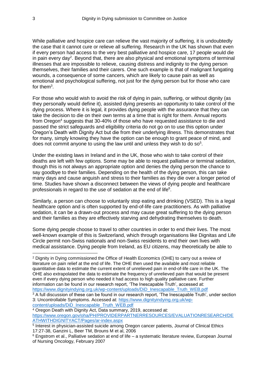While palliative and hospice care can relieve the vast majority of suffering, it is undoubtedly the case that it cannot cure or relieve all suffering. Research in the UK has shown that even if every person had access to the very best palliative and hospice care, 17 people would die in pain every day<sup>2</sup>. Beyond that, there are also physical and emotional symptoms of terminal illnesses that are impossible to relieve, causing distress and indignity to the dying person themselves, their families and their carers. One such example is that of malignant fungating wounds, a consequence of some cancers, which are likely to cause pain as well as emotional and psychological suffering, not just for the dying person but for those who care for them<sup>3</sup>.

For those who would wish to avoid the risk of dying in pain, suffering, or without dignity (as they personally would define it), assisted dying presents an opportunity to take control of the dying process. Where it is legal, it provides dying people with the assurance that they can take the decision to die on their own terms at a time that is right for them. Annual reports from Oregon<sup>4</sup> suggests that 30-40% of those who have requested assistance to die and passed the strict safeguards and eligibility criteria do not go on to use this option under Oregon's Death with Dignity Act but die from their underlying illness. This demonstrates that for many, simply knowing they have the option can be enough to grant peace of mind, and does not commit anyone to using the law until and unless they wish to do so $5$ .

Under the existing laws in Ireland and in the UK, those who wish to take control of their deaths are left with few options. Some may be able to request palliative or terminal sedation, though this is not always an appropriate option and denies the dying person the chance to say goodbye to their families. Depending on the health of the dying person, this can take many days and cause anguish and stress to their families as they die over a longer period of time. Studies have shown a disconnect between the views of dying people and healthcare professionals in regard to the use of sedation at the end of life<sup>6</sup>.

Similarly, a person can choose to voluntarily stop eating and drinking (VSED). This is a legal healthcare option and is often supported by end-of-life care practitioners. As with palliative sedation, it can be a drawn-out process and may cause great suffering to the dying person and their families as they are effectively starving and dehydrating themselves to death.

Some dying people choose to travel to other countries in order to end their lives. The most well-known example of this is Switzerland, which through organisations like Dignitas and Life Circle permit non-Swiss nationals and non-Swiss residents to end their own lives with medical assistance. Dying people from Ireland, as EU citizens, may theoretically be able to

<sup>2</sup> Dignity in Dying commissioned the Office of Health Economics (OHE) to carry out a review of literature on pain relief at the end of life. The OHE then used the available and most reliable quantitative data to estimate the current extent of unrelieved pain in end-of-life care in the UK. The OHE also extrapolated the data to estimate the frequency of unrelieved pain that would be present even if every dying person who needed it had access to high quality palliative care. Further information can be found in our research report, 'The Inescapable Truth', accessed at: [https://www.dignityindying.org.uk/wp-content/uploads/DiD\\_Inescapable\\_Truth\\_WEB.pdf](https://www.dignityindying.org.uk/wp-content/uploads/DiD_Inescapable_Truth_WEB.pdf)

 $3$  A full discussion of these can be found in our research report, 'The Inescapable Truth', under section 3: Uncontrollable Symptoms. Accessed at: [https://www.dignityindying.org.uk/wp](https://www.dignityindying.org.uk/wp-content/uploads/DiD_Inescapable_Truth_WEB.pdf)[content/uploads/DiD\\_Inescapable\\_Truth\\_WEB.pdf](https://www.dignityindying.org.uk/wp-content/uploads/DiD_Inescapable_Truth_WEB.pdf)

<sup>4</sup> Oregon Death with Dignity Act, Data summary, 2019, accessed at: [https://www.oregon.gov/oha/PH/PROVIDERPARTNERRESOURCES/EVALUATIONRESEARCH/DE](https://www.oregon.gov/oha/PH/PROVIDERPARTNERRESOURCES/EVALUATIONRESEARCH/DEATHWITHDIGNITYACT/Pages/ar-index.aspx) [ATHWITHDIGNITYACT/Pages/ar-index.aspx](https://www.oregon.gov/oha/PH/PROVIDERPARTNERRESOURCES/EVALUATIONRESEARCH/DEATHWITHDIGNITYACT/Pages/ar-index.aspx)

<sup>5</sup> Interest in physician-assisted suicide among Oregon cancer patients, Journal of Clinical Ethics 17:27-38, Ganzini L, Beer TM, Brouns M et al, 2006

<sup>6</sup> Engstrom et al., Palliative sedation at end of life – a systematic literature review, European Journal of Nursing Oncology, February 2007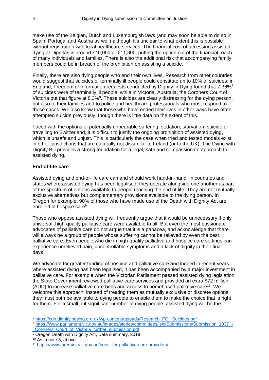make use of the Belgian, Dutch and Luxemburgish laws (and may soon be able to do so in Spain, Portugal and Austria as well) although it's unclear to what extent this is possible without registration with local healthcare services. The financial cost of accessing assisted dying at Dignitas is around £10,000 or €11,300, putting the option out of the financial reach of many individuals and families. There is also the additional risk that accompanying family members could be in breach of the prohibition on assisting a suicide.

Finally, there are also dying people who end their own lives. Research from other countries would suggest that suicides of terminally ill people could constitute up to 10% of suicides; in England, Freedom of Information requests conducted by Dignity in Dying found that 7.36%<sup>7</sup> of suicides were of terminally ill people, while in Victoria, Australia, the Coroners Court of Victoria put that figure at 8.3%<sup>8</sup>. These suicides are clearly distressing for the dying person, but also to their families and to police and healthcare professionals who must respond to these cases. We also know that those who have ended their lives in other ways have often attempted suicide previously, though there is little data on the extent of this.

Faced with the options of potentially unbearable suffering, sedation, starvation, suicide or travelling to Switzerland, it is difficult to justify the ongoing prohibition of assisted dying, which is unsafe and unjust. This is particularly the case when tried and tested models exist in other jurisdictions that are culturally not dissimilar to Ireland (or to the UK). The Dying with Dignity Bill provides a strong foundation for a legal, safe and compassionate approach to assisted dying.

### **End-of-life care**

Assisted dying and end-of-life care can and should work hand-in-hand. In countries and states where assisted dying has been legalised, they operate alongside one another as part of the spectrum of options available to people reaching the end of life. They are not mutually exclusive alternatives but complementary provisions available to the dying person. In Oregon for example, 90% of those who have made use of the Death with Dignity Act are enrolled in hospice care<sup>9</sup>.

Those who oppose assisted dying will frequently argue that it would be unnecessary if only universal, high-quality palliative care were available to all. But even the most passionate advocates of palliative care do not argue that it is a panacea, and acknowledge that there will always be a group of people whose suffering cannot be relieved by even the best palliative care. Even people who die in high-quality palliative and hospice care settings can experience unrelieved pain, uncontrollable symptoms and a lack of dignity in their final days<sup>10</sup>.

We advocate for greater funding of hospice and palliative care and indeed in recent years where assisted dying has been legalised, it has been accompanied by a major investment in palliative care. For example when the Victorian Parliament passed assisted dying legislation, the State Government reviewed palliative care services and provided an extra \$72 million (AUD) to increase palliative care beds and access to homebased palliative care<sup>11</sup>. We welcome this approach: instead of treating them as mutually exclusive or discrete options they must both be available to dying people to enable them to make the choice that is right for them. For a small but significant number of dying people, assisted dying will be the

<sup>7</sup> [https://cdn.dignityindying.org.uk/wp-content/uploads/Research\\_FOI\\_Suicides.pdf](https://cdn.dignityindying.org.uk/wp-content/uploads/Research_FOI_Suicides.pdf)

<sup>8</sup> https://www.parliament.vic.gov.au/images/stories/committees/lsic/Submissions/Submission 1037 -Coroners\_Court\_of\_Victoria\_further\_submission.pdf

<sup>&</sup>lt;sup>9</sup> Oregon Death with Dignity Act, Data summary, 2019

<sup>10</sup> As in note 3, above.

<sup>11</sup> <https://www.premier.vic.gov.au/boost-for-palliative-care-providers/>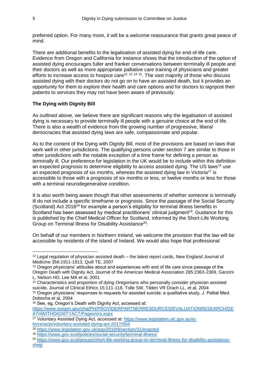preferred option. For many more, it will be a welcome reassurance that grants great peace of mind.

There are additional benefits to the legalisation of assisted dying for end-of-life care. Evidence from Oregon and California for instance shows that the introduction of the option of assisted dying encourages fuller and franker conversations between terminally ill people and their doctors as well as more appropriate palliative care training of physicians and greater efforts to increase access to hospice care<sup>12 13</sup> <sup>14 15</sup>. The vast majority of those who discuss assisted dying with their doctors do not go on to have an assisted death, but it provides an opportunity for them to explore their health and care options and for doctors to signpost their patients to services they may not have been aware of previously.

## **The Dying with Dignity Bill**

As outlined above, we believe there are significant reasons why the legalisation of assisted dying is necessary to provide terminally ill people with a genuine choice at the end of life. There is also a wealth of evidence from the growing number of progressive, liberal democracies that assisted dying laws are safe, compassionate and popular.

As to the content of the Dying with Dignity Bill, most of the provisions are based on laws that work well in other jurisdictions. The qualifying persons under section 7 are similar to those in other jurisdictions with the notable exception of a time frame for defining a person as terminally ill. Our preference for legislation in the UK would be to include within this definition an expected prognosis to determine eligibility to access assisted dying. The US laws<sup>16</sup> use an expected prognosis of six months, whereas the assisted dying law in Victoria<sup>17</sup> is accessible to those with a prognosis of six months or less, or twelve months or less for those with a terminal neurodegenerative condition.

It is also worth being aware though that other assessments of whether someone is terminally ill do not include a specific timeframe or prognosis. Since the passage of the Social Security (Scotland) Act 2018<sup>18</sup> for example a person's eligibility for terminal illness benefits in Scotland has been assessed by medical practitioners' clinical judgment<sup>19</sup>. Guidance for this is published by the Chief Medical Officer for Scotland, informed by the Short-Life Working Group on Terminal Illness for Disability Assistance<sup>20</sup>.

On behalf of our members in Northern Ireland, we welcome the provision that the law will be accessible by residents of the island of Ireland. We would also hope that professional

 $12$  Legal regulation of physician assisted death – the latest report cards, New England Journal of Medicine 356:1911-1913, Quill TE, 2007

<sup>&</sup>lt;sup>13</sup> Oregon physicians' attitudes about and experiences with end of life care since passage of the Oregon Death with Dignity Act, Journal of the American Medical Association 285:2363-2369, Ganzini L, Nelson HD, Lee MA et al, 2001

<sup>14</sup> Characteristics and proportion of dying Oregonians who personally consider physician assisted suicide, Journal of Clinical Ethics 15:111-118, Tolle SW, Tilden VR Drach LL, et al, 2004 <sup>15</sup> Oregon physicians' responses to requests for assisted suicide: a qualitative study, J. Palliat Med.

Dobscha et al, 2004

<sup>16</sup> See, eg, Oregon's Death with Dignity Act, accessed at:

[https://www.oregon.gov/oha/PH/PROVIDERPARTNERRESOURCES/EVALUATIONRESEARCH/DE](https://www.oregon.gov/oha/PH/PROVIDERPARTNERRESOURCES/EVALUATIONRESEARCH/DEATHWITHDIGNITYACT/Pages/ors.aspx) [ATHWITHDIGNITYACT/Pages/ors.aspx](https://www.oregon.gov/oha/PH/PROVIDERPARTNERRESOURCES/EVALUATIONRESEARCH/DEATHWITHDIGNITYACT/Pages/ors.aspx)

<sup>17</sup> Voluntary Assisted Dying Act, accessed at: [https://www.legislation.vic.gov.au/in](https://www.legislation.vic.gov.au/in-force/acts/voluntary-assisted-dying-act-2017/004)[force/acts/voluntary-assisted-dying-act-2017/004](https://www.legislation.vic.gov.au/in-force/acts/voluntary-assisted-dying-act-2017/004)

<sup>18</sup> <https://www.legislation.gov.uk/asp/2018/9/section/31/enacted>

<sup>19</sup> <https://www.gov.scot/policies/social-security/terminal-illness/>

<sup>20</sup> [https://www.gov.scot/groups/short-life-working-group-on-terminal-illness-for-disability-assistance](https://www.gov.scot/groups/short-life-working-group-on-terminal-illness-for-disability-assistance-slwg/)[slwg/](https://www.gov.scot/groups/short-life-working-group-on-terminal-illness-for-disability-assistance-slwg/)